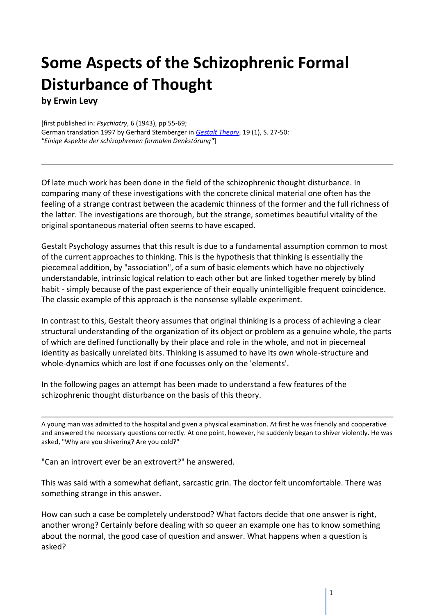# **Some Aspects of the Schizophrenic Formal Disturbance of Thought**

**by Erwin Levy**

[first published in: *Psychiatry*, 6 (1943), pp 55-69; German translation 1997 by Gerhard Stemberger in *[Gestalt Theory](http://gestalttheory.net/gth/)*, 19 (1), S. 27-50: *"Einige Aspekte der schizophrenen formalen Denkstörung"*]

Of late much work has been done in the field of the schizophrenic thought disturbance. In comparing many of these investigations with the concrete clinical material one often has the feeling of a strange contrast between the academic thinness of the former and the full richness of the latter. The investigations are thorough, but the strange, sometimes beautiful vitality of the original spontaneous material often seems to have escaped.

Gestalt Psychology assumes that this result is due to a fundamental assumption common to most of the current approaches to thinking. This is the hypothesis that thinking is essentially the piecemeal addition, by "association", of a sum of basic elements which have no objectively understandable, intrinsic logical relation to each other but are linked together merely by blind habit - simply because of the past experience of their equally unintelligible frequent coincidence. The classic example of this approach is the nonsense syllable experiment.

In contrast to this, Gestalt theory assumes that original thinking is a process of achieving a clear structural understanding of the organization of its object or problem as a genuine whole, the parts of which are defined functionally by their place and role in the whole, and not in piecemeal identity as basically unrelated bits. Thinking is assumed to have its own whole-structure and whole-dynamics which are lost if one focusses only on the 'elements'.

In the following pages an attempt has been made to understand a few features of the schizophrenic thought disturbance on the basis of this theory.

A young man was admitted to the hospital and given a physical examination. At first he was friendly and cooperative and answered the necessary questions correctly. At one point, however, he suddenly began to shiver violently. He was asked, "Why are you shivering? Are you cold?"

"Can an introvert ever be an extrovert?" he answered.

This was said with a somewhat defiant, sarcastic grin. The doctor felt uncomfortable. There was something strange in this answer.

How can such a case be completely understood? What factors decide that one answer is right, another wrong? Certainly before dealing with so queer an example one has to know something about the normal, the good case of question and answer. What happens when a question is asked?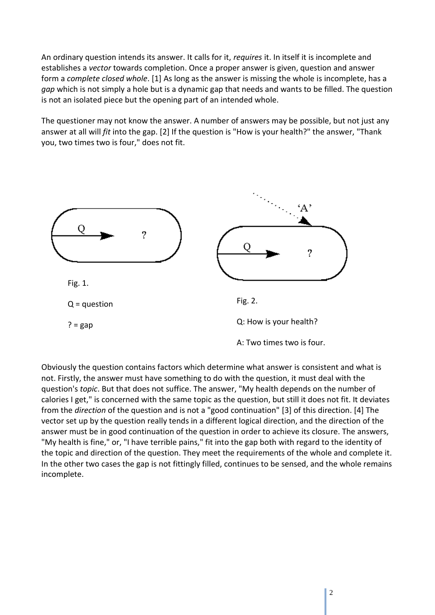An ordinary question intends its answer. It calls for it, *requires* it. In itself it is incomplete and establishes a *vector* towards completion. Once a proper answer is given, question and answer form a *complete closed whole*. [1] As long as the answer is missing the whole is incomplete, has a *gap* which is not simply a hole but is a dynamic gap that needs and wants to be filled. The question is not an isolated piece but the opening part of an intended whole.

The questioner may not know the answer. A number of answers may be possible, but not just any answer at all will *fit* into the gap. [2] If the question is "How is your health?" the answer, "Thank you, two times two is four," does not fit.



Obviously the question contains factors which determine what answer is consistent and what is not. Firstly, the answer must have something to do with the question, it must deal with the question's *topic*. But that does not suffice. The answer, "My health depends on the number of calories I get," is concerned with the same topic as the question, but still it does not fit. It deviates from the *direction* of the question and is not a "good continuation" [3] of this direction. [4] The vector set up by the question really tends in a different logical direction, and the direction of the answer must be in good continuation of the question in order to achieve its closure. The answers, "My health is fine," or, "I have terrible pains," fit into the gap both with regard to the identity of the topic and direction of the question. They meet the requirements of the whole and complete it. In the other two cases the gap is not fittingly filled, continues to be sensed, and the whole remains incomplete.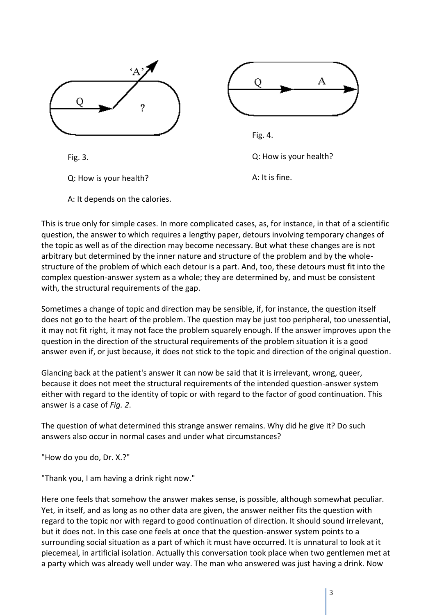

A: It depends on the calories.

This is true only for simple cases. In more complicated cases, as, for instance, in that of a scientific question, the answer to which requires a lengthy paper, detours involving temporary changes of the topic as well as of the direction may become necessary. But what these changes are is not arbitrary but determined by the inner nature and structure of the problem and by the wholestructure of the problem of which each detour is a part. And, too, these detours must fit into the complex question-answer system as a whole; they are determined by, and must be consistent with, the structural requirements of the gap.

Sometimes a change of topic and direction may be sensible, if, for instance, the question itself does not go to the heart of the problem. The question may be just too peripheral, too unessential, it may not fit right, it may not face the problem squarely enough. If the answer improves upon the question in the direction of the structural requirements of the problem situation it is a good answer even if, or just because, it does not stick to the topic and direction of the original question.

Glancing back at the patient's answer it can now be said that it is irrelevant, wrong, queer, because it does not meet the structural requirements of the intended question-answer system either with regard to the identity of topic or with regard to the factor of good continuation. This answer is a case of *Fig. 2*.

The question of what determined this strange answer remains. Why did he give it? Do such answers also occur in normal cases and under what circumstances?

"How do you do, Dr. X.?"

"Thank you, I am having a drink right now."

Here one feels that somehow the answer makes sense, is possible, although somewhat peculiar. Yet, in itself, and as long as no other data are given, the answer neither fits the question with regard to the topic nor with regard to good continuation of direction. It should sound irrelevant, but it does not. In this case one feels at once that the question-answer system points to a surrounding social situation as a part of which it must have occurred. It is unnatural to look at it piecemeal, in artificial isolation. Actually this conversation took place when two gentlemen met at a party which was already well under way. The man who answered was just having a drink. Now

А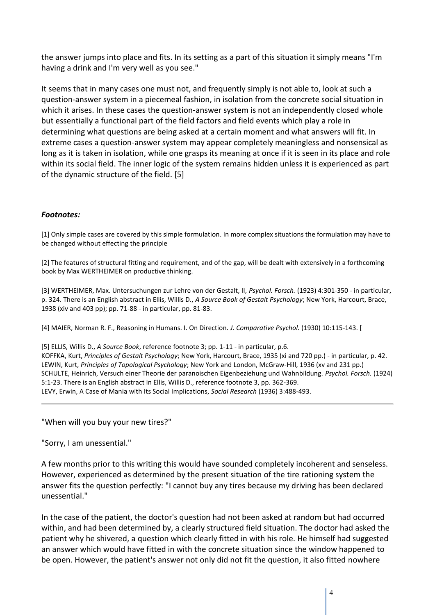the answer jumps into place and fits. In its setting as a part of this situation it simply means "I'm having a drink and I'm very well as you see."

It seems that in many cases one must not, and frequently simply is not able to, look at such a question-answer system in a piecemeal fashion, in isolation from the concrete social situation in which it arises. In these cases the question-answer system is not an independently closed whole but essentially a functional part of the field factors and field events which play a role in determining what questions are being asked at a certain moment and what answers will fit. In extreme cases a question-answer system may appear completely meaningless and nonsensical as long as it is taken in isolation, while one grasps its meaning at once if it is seen in its place and role within its social field. The inner logic of the system remains hidden unless it is experienced as part of the dynamic structure of the field. [5]

## *Footnotes:*

[1] Only simple cases are covered by this simple formulation. In more complex situations the formulation may have to be changed without effecting the principle

[2] The features of structural fitting and requirement, and of the gap, will be dealt with extensively in a forthcoming book by Max WERTHEIMER on productive thinking.

[3] WERTHEIMER, Max. Untersuchungen zur Lehre von der Gestalt, II, *Psychol. Forsch.* (1923) 4:301-350 - in particular, p. 324. There is an English abstract in Ellis, Willis D., *A Source Book of Gestalt Psychology*; New York, Harcourt, Brace, 1938 (xiv and 403 pp); pp. 71-88 - in particular, pp. 81-83.

[4] MAIER, Norman R. F., Reasoning in Humans. I. On Direction. *J. Comparative Psychol.* (1930) 10:115-143. [

[5] ELLIS, Willis D., *A Source Book*, reference footnote 3; pp. 1-11 - in particular, p.6.

KOFFKA, Kurt, *Principles of Gestalt Psychology*; New York, Harcourt, Brace, 1935 (xi and 720 pp.) - in particular, p. 42. LEWIN, Kurt, *Principles of Topological Psychology*; New York and London, McGraw-Hill, 1936 (xv and 231 pp.) SCHULTE, Heinrich, Versuch einer Theorie der paranoischen Eigenbeziehung und Wahnbildung. *Psychol. Forsch.* (1924) 5:1-23. There is an English abstract in Ellis, Willis D., reference footnote 3, pp. 362-369. LEVY, Erwin, A Case of Mania with Its Social Implications, *Social Research* (1936) 3:488-493.

"When will you buy your new tires?"

"Sorry, I am unessential."

A few months prior to this writing this would have sounded completely incoherent and senseless. However, experienced as determined by the present situation of the tire rationing system the answer fits the question perfectly: "I cannot buy any tires because my driving has been declared unessential."

In the case of the patient, the doctor's question had not been asked at random but had occurred within, and had been determined by, a clearly structured field situation. The doctor had asked the patient why he shivered, a question which clearly fitted in with his role. He himself had suggested an answer which would have fitted in with the concrete situation since the window happened to be open. However, the patient's answer not only did not fit the question, it also fitted nowhere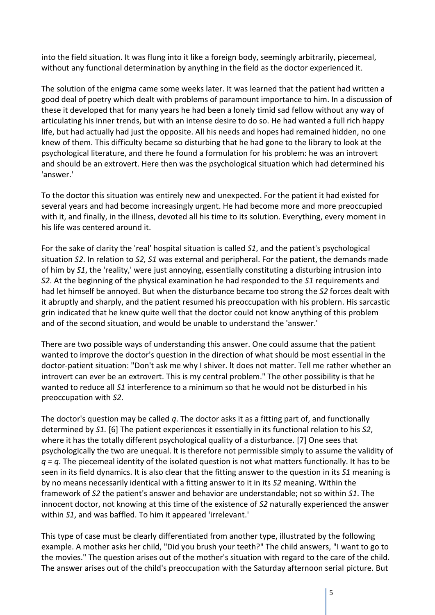into the field situation. It was flung into it like a foreign body, seemingly arbitrarily, piecemeal, without any functional determination by anything in the field as the doctor experienced it.

The solution of the enigma came some weeks later. It was learned that the patient had written a good deal of poetry which dealt with problems of paramount importance to him. In a discussion of these it developed that for many years he had been a lonely timid sad fellow without any way of articulating his inner trends, but with an intense desire to do so. He had wanted a full rich happy life, but had actually had just the opposite. All his needs and hopes had remained hidden, no one knew of them. This difficulty became so disturbing that he had gone to the library to look at the psychological literature, and there he found a formulation for his problem: he was an introvert and should be an extrovert. Here then was the psychological situation which had determined his 'answer.'

To the doctor this situation was entirely new and unexpected. For the patient it had existed for several years and had become increasingly urgent. He had become more and more preoccupied with it, and finally, in the illness, devoted all his time to its solution. Everything, every moment in his life was centered around it.

For the sake of clarity the 'real' hospital situation is called *S1*, and the patient's psychological situation *S2*. In relation to *S2, S1* was external and peripheral. For the patient, the demands made of him by *S1*, the 'reality,' were just annoying, essentially constituting a disturbing intrusion into *S2*. At the beginning of the physical examination he had responded to the *S1* requirements and had let himself be annoyed. But when the disturbance became too strong the *S2* forces dealt with it abruptly and sharply, and the patient resumed his preoccupation with his problern. His sarcastic grin indicated that he knew quite well that the doctor could not know anything of this problem and of the second situation, and would be unable to understand the 'answer.'

There are two possible ways of understanding this answer. One could assume that the patient wanted to improve the doctor's question in the direction of what should be most essential in the doctor-patient situation: "Don't ask me why I shiver. lt does not matter. Tell me rather whether an introvert can ever be an extrovert. This is my central problem." The other possibility is that he wanted to reduce all *S1* interference to a minimum so that he would not be disturbed in his preoccupation with *S2*.

The doctor's question may be called *q*. The doctor asks it as a fitting part of, and functionally determined by *S1.* [6] The patient experiences it essentially in its functional relation to his *S2*, where it has the totally different psychological quality of a disturbance. [7] One sees that psychologically the two are unequal. lt is therefore not permissible simply to assume the validity of *q = q*. The piecemeal identity of the isolated question is not what matters functionally. It has to be seen in its field dynamics. It is also clear that the fitting answer to the question in its *S1* meaning is by no means necessarily identical with a fitting answer to it in its *S2* meaning. Within the framework of *S2* the patient's answer and behavior are understandable; not so within *S1*. The innocent doctor, not knowing at this time of the existence of *S2* naturally experienced the answer within *S1*, and was baffled. To him it appeared 'irrelevant.'

This type of case must be clearly differentiated from another type, illustrated by the following example. A mother asks her child, "Did you brush your teeth?" The child answers, "I want to go to the movies." The question arises out of the mother's situation with regard to the care of the child. The answer arises out of the child's preoccupation with the Saturday afternoon serial picture. But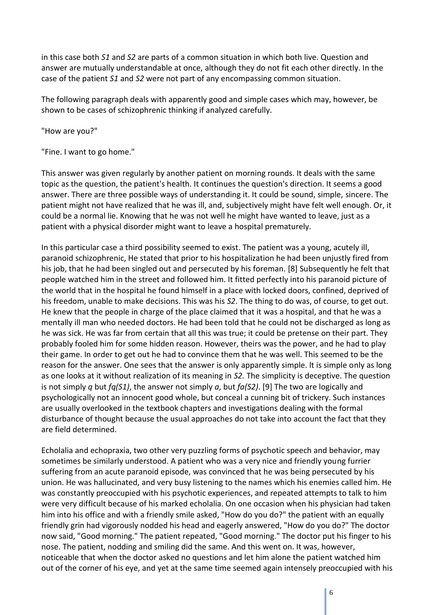in this case both *S1* and *S2* are parts of a common situation in which both live. Question and answer are mutually understandable at once, although they do not fit each other directly. In the case of the patient *S1* and *S2* were not part of any encompassing common situation.

The following paragraph deals with apparently good and simple cases which may, however, be shown to be cases of schizophrenic thinking if analyzed carefully.

"How are you?"

"Fine. I want to go home."

This answer was given regularly by another patient on morning rounds. It deals with the same topic as the question, the patient's health. It continues the question's direction. It seems a good answer. There are three possible ways of understanding it. It could be sound, simple, sincere. The patient might not have realized that he was ill, and, subjectively might have felt well enough. Or, it could be a normal lie. Knowing that he was not well he might have wanted to leave, just as a patient with a physical disorder might want to leave a hospital prematurely.

In this particular case a third possibility seemed to exist. The patient was a young, acutely ill, paranoid schizophrenic, He stated that prior to his hospitalization he had been unjustly fired from his job, that he had been singled out and persecuted by his foreman. [8] Subsequently he felt that people watched him in the street and followed him. It fitted perfectly into his paranoid picture of the world that in the hospital he found himself in a place with locked doors, confined, deprived of his freedom, unable to make decisions. This was his *S2*. The thing to do was, of course, to get out. He knew that the people in charge of the place claimed that it was a hospital, and that he was a mentally ill man who needed doctors. He had been told that he could not be discharged as long as he was sick. He was far from certain that all this was true; it could be pretense on their part. They probably fooled him for some hidden reason. However, theirs was the power, and he had to play their game. In order to get out he had to convince them that he was well. This seemed to be the reason for the answer. One sees that the answer is only apparently simple. lt is simple only as long as one looks at it without realization of its meaning in *S2.* The simplicity is deceptive. The question is not simply *q* but *fq(S1)*, the answer not simply *a*, but *fa(S2)*. [9] The two are logically and psychologically not an innocent good whole, but conceal a cunning bit of trickery. Such instances are usually overlooked in the textbook chapters and investigations dealing with the formal disturbance of thought because the usual approaches do not take into account the fact that they are field determined.

Echolalia and echopraxia, two other very puzzling forms of psychotic speech and behavior, may sometimes be similarly understood. A patient who was a very nice and friendly young furrier suffering from an acute paranoid episode, was convinced that he was being persecuted by his union. He was hallucinated, and very busy listening to the names which his enemies called him. He was constantly preoccupied with his psychotic experiences, and repeated attempts to talk to him were very difficult because of his marked echolalia. On one occasion when his physician had taken him into his office and with a friendly smile asked, "How do you do?" the patient with an equally friendly grin had vigorously nodded his head and eagerly answered, "How do you do?" The doctor now said, "Good morning." The patient repeated, "Good morning." The doctor put his finger to his nose. The patient, nodding and smiling did the same. And this went on. It was, however, noticeable that when the doctor asked no questions and let him alone the patient watched him out of the corner of his eye, and yet at the same time seemed again intensely preoccupied with his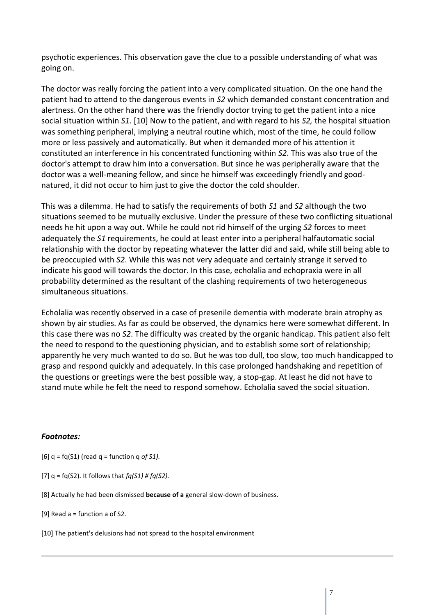psychotic experiences. This observation gave the clue to a possible understanding of what was going on.

The doctor was really forcing the patient into a very complicated situation. On the one hand the patient had to attend to the dangerous events in *S2* which demanded constant concentration and alertness. On the other hand there was the friendly doctor trying to get the patient into a nice social situation within *S1*. [10] Now to the patient, and with regard to his *S2,* the hospital situation was something peripheral, implying a neutral routine which, most of the time, he could follow more or less passively and automatically. But when it demanded more of his attention it constituted an interference in his concentrated functioning within *S2*. This was also true of the doctor's attempt to draw him into a conversation. But since he was peripherally aware that the doctor was a well-meaning fellow, and since he himself was exceedingly friendly and goodnatured, it did not occur to him just to give the doctor the cold shoulder.

This was a dilemma. He had to satisfy the requirements of both *S1* and *S2* although the two situations seemed to be mutually exclusive. Under the pressure of these two conflicting situational needs he hit upon a way out. While he could not rid himself of the urging *S2* forces to meet adequately the *S1* requirements, he could at least enter into a peripheral halfautomatic social relationship with the doctor by repeating whatever the latter did and said, while still being able to be preoccupied with *S2*. While this was not very adequate and certainly strange it served to indicate his good will towards the doctor. In this case, echolalia and echopraxia were in all probability determined as the resultant of the clashing requirements of two heterogeneous simultaneous situations.

Echolalia was recently observed in a case of presenile dementia with moderate brain atrophy as shown by air studies. As far as could be observed, the dynamics here were somewhat different. In this case there was no *S2*. The difficulty was created by the organic handicap. This patient also felt the need to respond to the questioning physician, and to establish some sort of relationship; apparently he very much wanted to do so. But he was too dull, too slow, too much handicapped to grasp and respond quickly and adequately. In this case prolonged handshaking and repetition of the questions or greetings were the best possible way, a stop-gap. At least he did not have to stand mute while he felt the need to respond somehow. Echolalia saved the social situation.

## *Footnotes:*

- [6] q = fq(S1) (read q = function q *of S1).*
- [7] q = fq(S2). It follows that *fq(S1) # fq(S2).*
- [8] Actually he had been dismissed **because of a** general slow-down of business.
- [9] Read a = function a of S2*.*
- [10] The patient's delusions had not spread to the hospital environment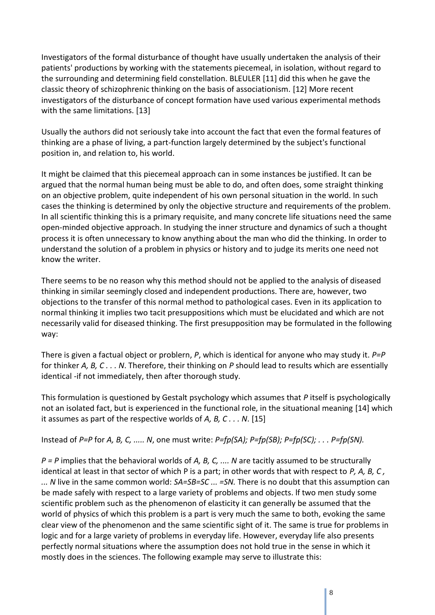Investigators of the formal disturbance of thought have usually undertaken the analysis of their patients' productions by working with the statements piecemeal, in isolation, without regard to the surrounding and determining field constellation. BLEULER [11] did this when he gave the classic theory of schizophrenic thinking on the basis of associationism. [12] More recent investigators of the disturbance of concept formation have used various experimental methods with the same limitations. [13]

Usually the authors did not seriously take into account the fact that even the formal features of thinking are a phase of living, a part-function largely determined by the subject's functional position in, and relation to, his world.

It might be claimed that this piecemeal approach can in some instances be justified. lt can be argued that the normal human being must be able to do, and often does, some straight thinking on an objective problem, quite independent of his own personal situation in the world. In such cases the thinking is determined by only the objective structure and requirements of the problem. In all scientific thinking this is a primary requisite, and many concrete life situations need the same open-minded objective approach. In studying the inner structure and dynamics of such a thought process it is often unnecessary to know anything about the man who did the thinking. In order to understand the solution of a problem in physics or history and to judge its merits one need not know the writer.

There seems to be no reason why this method should not be applied to the analysis of diseased thinking in similar seemingly closed and independent productions. There are, however, two objections to the transfer of this normal method to pathological cases. Even in its application to normal thinking it implies two tacit presuppositions which must be elucidated and which are not necessarily valid for diseased thinking. The first presupposition may be formulated in the following way:

There is given a factual object or problern, *P*, which is identical for anyone who may study it. *P=P*  for thinker *A, B, C . . . N*. Therefore, their thinking on *P* should lead to results which are essentially identical -if not immediately, then after thorough study.

This formulation is questioned by Gestalt psychology which assumes that *P* itself is psychologically not an isolated fact, but is experienced in the functional role, in the situational meaning [14] which it assumes as part of the respective worlds of *A, B, C . . . N*. [15]

Instead of *P=P* for *A, B, C, ..... N*, one must write: *P=fp(SA); P=fp(SB); P=fp(SC); . . . P=fp(SN).*

*P = P* implies that the behavioral worlds of *A, B, C, .... N* are tacitly assumed to be structurally identical at least in that sector of which P is a part; in other words that with respect to *P, A, B, C , ... N* live in the same common world: *SA=SB=SC ... =SN.* There is no doubt that this assumption can be made safely with respect to a large variety of problems and objects. lf two men study some scientific problem such as the phenomenon of elasticity it can generally be assumed that the world of physics of which this problem is a part is very much the same to both, evoking the same clear view of the phenomenon and the same scientific sight of it. The same is true for problems in logic and for a large variety of problems in everyday life. However, everyday life also presents perfectly normal situations where the assumption does not hold true in the sense in which it mostly does in the sciences. The following example may serve to illustrate this: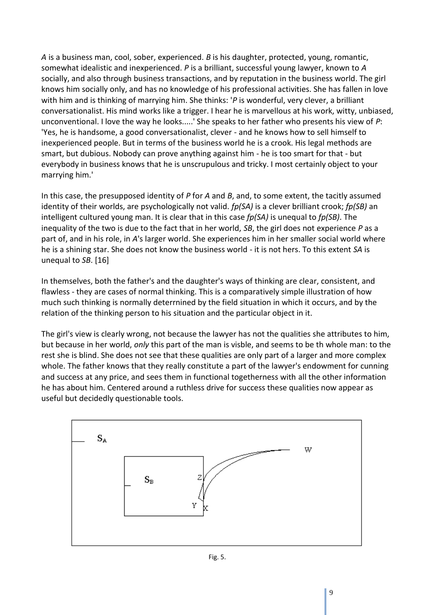*A* is a business man, cool, sober, experienced. *B* is his daughter, protected, young, romantic, somewhat idealistic and inexperienced. *P* is a brilliant, successful young lawyer, known to *A* socially, and also through business transactions, and by reputation in the business world. The girl knows him socially only, and has no knowledge of his professional activities. She has fallen in love with him and is thinking of marrying him. She thinks: '*P* is wonderful, very clever, a brilliant conversationalist. His mind works like a trigger. I hear he is marvellous at his work, witty, unbiased, unconventional. I love the way he looks.....' She speaks to her father who presents his view of *P*: 'Yes, he is handsome, a good conversationalist, clever - and he knows how to sell himself to inexperienced people. But in terms of the business world he is a crook. His legal methods are smart, but dubious. Nobody can prove anything against him - he is too smart for that - but everybody in business knows that he is unscrupulous and tricky. I most certainly object to your marrying him.'

In this case, the presupposed identity of *P* for *A* and *B*, and, to some extent, the tacitly assumed identity of their worlds, are psychologically not valid. *fp(SA)* is a clever brilliant crook; *fp(SB)* an intelligent cultured young man. It is clear that in this case *fp(SA)* is unequal to *fp(SB)*. The inequality of the two is due to the fact that in her world, *SB*, the girl does not experience *P* as a part of, and in his role, in *A*'s larger world. She experiences him in her smaller social world where he is a shining star. She does not know the business world - it is not hers. To this extent *SA* is unequal to *SB*. [16]

In themselves, both the father's and the daughter's ways of thinking are clear, consistent, and flawless - they are cases of normal thinking. This is a comparatively simple illustration of how much such thinking is normally deterrnined by the field situation in which it occurs, and by the relation of the thinking person to his situation and the particular object in it.

The girl's view is clearly wrong, not because the lawyer has not the qualities she attributes to him, but because in her world, *only* this part of the man is visble, and seems to be th whole man: to the rest she is blind. She does not see that these qualities are only part of a larger and more complex whole. The father knows that they really constitute a part of the lawyer's endowment for cunning and success at any price, and sees them in functional togetherness with all the other information he has about him. Centered around a ruthless drive for success these qualities now appear as useful but decidedly questionable tools.



Fig. 5.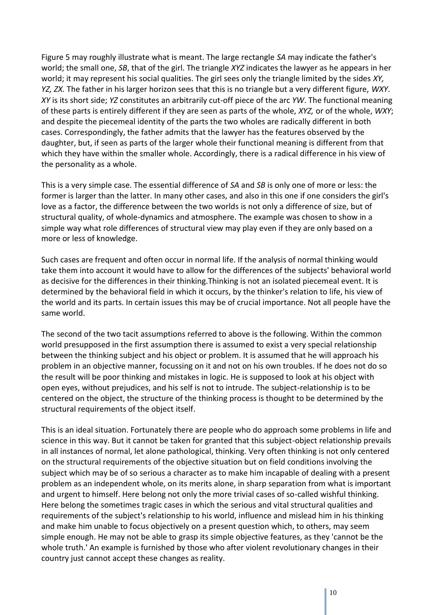Figure 5 may roughly illustrate what is meant. The large rectangle *SA* may indicate the father's world; the small one, *SB*, that of the girl. The triangle *XYZ* indicates the lawyer as he appears in her world; it may represent his social qualities. The girl sees only the triangle limited by the sides *XY, YZ, ZX.* The father in his larger horizon sees that this is no triangle but a very different figure, *WXY*. *XY* is its short side; *YZ* constitutes an arbitrarily cut-off piece of the arc *YW*. The functional meaning of these parts is entirely different if they are seen as parts of the whole, *XYZ,* or of the whole, *WXY*; and despite the piecemeal identity of the parts the two wholes are radically different in both cases. Correspondingly, the father admits that the lawyer has the features observed by the daughter, but, if seen as parts of the larger whole their functional meaning is different from that which they have within the smaller whole. Accordingly, there is a radical difference in his view of the personality as a whole.

This is a very simple case. The essential difference of *SA* and *SB* is only one of more or less: the former is larger than the latter. In many other cases, and also in this one if one considers the girl's love as a factor, the difference between the two worlds is not only a difference of size, but of structural quality, of whole-dynamics and atmosphere. The example was chosen to show in a simple way what role differences of structural view may play even if they are only based on a more or less of knowledge.

Such cases are frequent and often occur in normal life. If the analysis of normal thinking would take them into account it would have to allow for the differences of the subjects' behavioral world as decisive for the differences in their thinking.Thinking is not an isolated piecemeal event. It is determined by the behavioral field in which it occurs, by the thinker's relation to life, his view of the world and its parts. In certain issues this may be of crucial importance. Not all people have the same world.

The second of the two tacit assumptions referred to above is the following. Within the common world presupposed in the first assumption there is assumed to exist a very special relationship between the thinking subject and his object or problem. It is assumed that he will approach his problem in an objective manner, focussing on it and not on his own troubles. If he does not do so the result will be poor thinking and mistakes in logic. He is supposed to look at his object with open eyes, without prejudices, and his self is not to intrude. The subject-relationship is to be centered on the object, the structure of the thinking process is thought to be determined by the structural requirements of the object itself.

This is an ideal situation. Fortunately there are people who do approach some problems in life and science in this way. But it cannot be taken for granted that this subject-object relationship prevails in all instances of normal, let alone pathological, thinking. Very often thinking is not only centered on the structural requirements of the objective situation but on field conditions involving the subject which may be of so serious a character as to make him incapable of dealing with a present problem as an independent whole, on its merits alone, in sharp separation from what is important and urgent to himself. Here belong not only the more trivial cases of so-called wishful thinking. Here belong the sometimes tragic cases in which the serious and vital structural qualities and requirements of the subject's relationship to his world, influence and mislead him in his thinking and make him unable to focus objectively on a present question which, to others, may seem simple enough. He may not be able to grasp its simple objective features, as they 'cannot be the whole truth.' An example is furnished by those who after violent revolutionary changes in their country just cannot accept these changes as reality.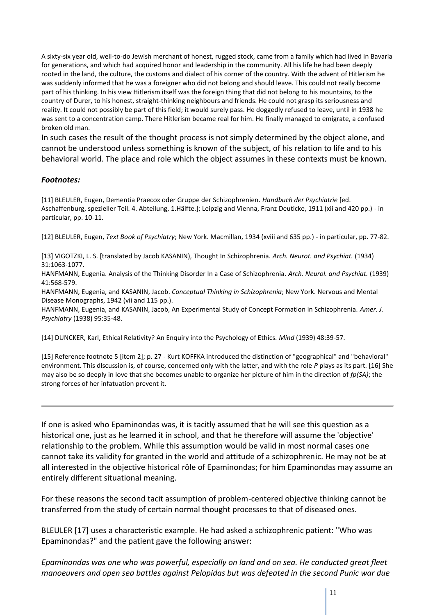A sixty-six year old, well-to-do Jewish merchant of honest, rugged stock, came from a family which had lived in Bavaria for generations, and which had acquired honor and leadership in the community. All his life he had been deeply rooted in the land, the culture, the customs and dialect of his corner of the country. With the advent of Hitlerism he was suddenly informed that he was a foreigner who did not belong and should leave. This could not really become part of his thinking. In his view Hitlerism itself was the foreign thing that did not belong to his mountains, to the country of Durer, to his honest, straight-thinking neighbours and friends. He could not grasp its seriousness and reality. It could not possibly be part of this field; it would surely pass. He doggedly refused to leave, until in 1938 he was sent to a concentration camp. There Hitlerism became real for him. He finally managed to emigrate, a confused broken old man.

In such cases the result of the thought process is not simply determined by the object alone, and cannot be understood unless something is known of the subject, of his relation to life and to his behavioral world. The place and role which the object assumes in these contexts must be known.

#### *Footnotes:*

[11] BLEULER, Eugen, Dementia Praecox oder Gruppe der Schizophrenien. *Handbuch der Psychiatrie* [ed. Aschaffenburg, spezieller Teil. 4. Abteilung, 1.Hälfte.]; Leipzig and Vienna, Franz Deuticke, 1911 (xii and 420 pp.) - in particular, pp. 10-11.

[12] BLEULER, Eugen, *Text Book of Psychiatry*; New York. Macmillan, 1934 (xviii and 635 pp.) - in particular, pp. 77-82.

[13] VIGOTZKI, L. S. [translated by Jacob KASANIN), Thought In Schizophrenia. *Arch. Neurot. and Psychiat.* (1934) 31:1063-1077.

HANFMANN, Eugenia. Analysis of the Thinking Disorder In a Case of Schizophrenia. *Arch. Neurol. and Psychiat.* (1939) 41:568-579.

HANFMANN, Eugenia, and KASANIN, Jacob. *Conceptual Thinking in Schizophrenia*; New York. Nervous and Mental Disease Monographs, 1942 (vii and 115 pp.).

HANFMANN, Eugenia, and KASANIN, Jacob, An Experimental Study of Concept Formation in Schizophrenia. *Amer. J. Psychiatry* (1938) 95:35-48.

[14] DUNCKER, Karl, Ethical Relativity? An Enquiry into the Psychology of Ethics. *Mind* (1939) 48:39-57.

[15] Reference footnote 5 [item 2]; p. 27 - Kurt KOFFKA introduced the distinction of "geographical" and "behavioral" environment. This dlscussion is, of course, concerned only with the latter, and with the role *P* plays as its part. [16] She may also be so deeply in love that she becomes unable to organize her picture of him in the direction of *fp(SA)*; the strong forces of her infatuation prevent it.

If one is asked who Epaminondas was, it is tacitly assumed that he will see this question as a historical one, just as he learned it in school, and that he therefore will assume the 'objective' relationship to the problem. While this assumption would be valid in most normal cases one cannot take its validity for granted in the world and attitude of a schizophrenic. He may not be at all interested in the objective historical rôle of Epaminondas; for him Epaminondas may assume an entirely different situational meaning.

For these reasons the second tacit assumption of problem-centered objective thinking cannot be transferred from the study of certain normal thought processes to that of diseased ones.

BLEULER [17] uses a characteristic example. He had asked a schizophrenic patient: "Who was Epaminondas?" and the patient gave the following answer:

*Epaminondas was one who was powerful, especially on land and on sea. He conducted great fleet manoeuvers and open sea battles against Pelopidas but was defeated in the second Punic war due*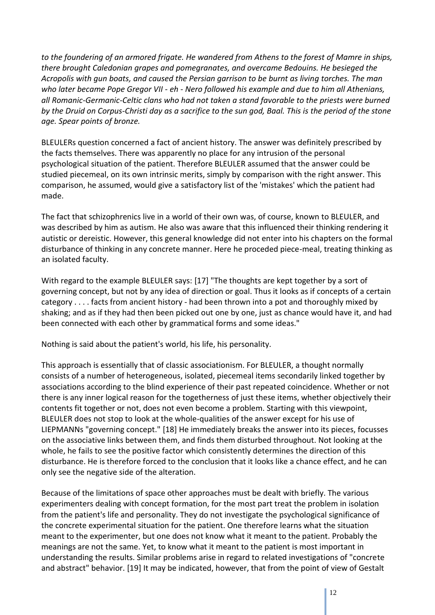*to the foundering of an armored frigate. He wandered from Athens to the forest of Mamre in ships, there brought Caledonian grapes and pomegranates, and overcame Bedouins. He besieged the Acropolis with gun boats, and caused the Persian garrison to be burnt as living torches. The man who later became Pope Gregor VII - eh - Nero followed his example and due to him all Athenians, all Romanic-Germanic-Celtic clans who had not taken a stand favorable to the priests were burned by the Druid on Corpus-Christi day as a sacrifice to the sun god, Baal. This is the period of the stone age. Spear points of bronze.*

BLEULERs question concerned a fact of ancient history. The answer was definitely prescribed by the facts themselves. There was apparently no place for any intrusion of the personal psychological situation of the patient. Therefore BLEULER assumed that the answer could be studied piecemeal, on its own intrinsic merits, simply by comparison with the right answer. This comparison, he assumed, would give a satisfactory list of the 'mistakes' which the patient had made.

The fact that schizophrenics live in a world of their own was, of course, known to BLEULER, and was described by him as autism. He also was aware that this influenced their thinking rendering it autistic or dereistic. However, this general knowledge did not enter into his chapters on the formal disturbance of thinking in any concrete manner. Here he proceded piece-meal, treating thinking as an isolated faculty.

With regard to the example BLEULER says: [17] "The thoughts are kept together by a sort of governing concept, but not by any idea of direction or goal. Thus it looks as if concepts of a certain category . . . . facts from ancient history - had been thrown into a pot and thoroughly mixed by shaking; and as if they had then been picked out one by one, just as chance would have it, and had been connected with each other by grammatical forms and some ideas."

Nothing is said about the patient's world, his life, his personality.

This approach is essentially that of classic associationism. For BLEULER, a thought normally consists of a number of heterogeneous, isolated, piecemeal items secondarily linked together by associations according to the blind experience of their past repeated coincidence. Whether or not there is any inner logical reason for the togetherness of just these items, whether objectively their contents fit together or not, does not even become a problem. Starting with this viewpoint, BLEULER does not stop to look at the whole-qualities of the answer except for his use of LIEPMANNs "governing concept." [18] He immediately breaks the answer into its pieces, focusses on the associative links between them, and finds them disturbed throughout. Not looking at the whole, he fails to see the positive factor which consistently determines the direction of this disturbance. He is therefore forced to the conclusion that it looks like a chance effect, and he can only see the negative side of the alteration.

Because of the limitations of space other approaches must be dealt with briefly. The various experimenters dealing with concept formation, for the most part treat the problem in isolation from the patient's life and personality. They do not investigate the psychological significance of the concrete experimental situation for the patient. One therefore learns what the situation meant to the experimenter, but one does not know what it meant to the patient. Probably the meanings are not the same. Yet, to know what it meant to the patient is most important in understanding the results. Similar problems arise in regard to related investigations of "concrete and abstract" behavior. [19] It may be indicated, however, that from the point of view of Gestalt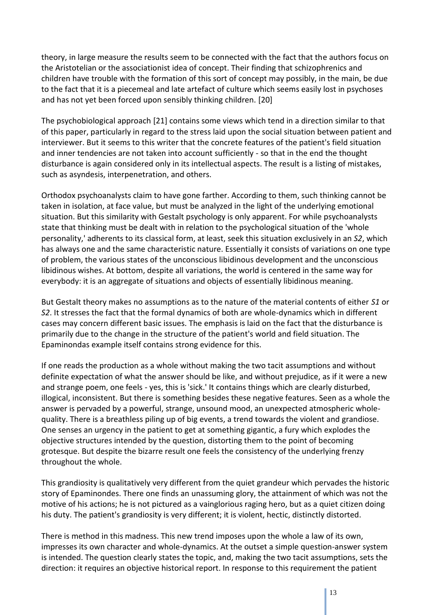theory, in large measure the results seem to be connected with the fact that the authors focus on the Aristotelian or the associationist idea of concept. Their finding that schizophrenics and children have trouble with the formation of this sort of concept may possibly, in the main, be due to the fact that it is a piecemeal and late artefact of culture which seems easily lost in psychoses and has not yet been forced upon sensibly thinking children. [20]

The psychobiological approach [21] contains some views which tend in a direction similar to that of this paper, particularly in regard to the stress laid upon the social situation between patient and interviewer. But it seems to this writer that the concrete features of the patient's field situation and inner tendencies are not taken into account sufficiently - so that in the end the thought disturbance is again considered only in its intellectual aspects. The result is a listing of mistakes, such as asyndesis, interpenetration, and others.

Orthodox psychoanalysts claim to have gone farther. According to them, such thinking cannot be taken in isolation, at face value, but must be analyzed in the light of the underlying emotional situation. But this similarity with Gestalt psychology is only apparent. For while psychoanalysts state that thinking must be dealt with in relation to the psychological situation of the 'whole personality,' adherents to its classical form, at least, seek this situation exclusively in an *S2*, which has always one and the same characteristic nature. Essentially it consists of variations on one type of problem, the various states of the unconscious libidinous development and the unconscious libidinous wishes. At bottom, despite all variations, the world is centered in the same way for everybody: it is an aggregate of situations and objects of essentially libidinous meaning.

But Gestalt theory makes no assumptions as to the nature of the material contents of either *S1* or *S2*. It stresses the fact that the formal dynamics of both are whole-dynamics which in different cases may concern different basic issues. The emphasis is laid on the fact that the disturbance is primarily due to the change in the structure of the patient's world and field situation. The Epaminondas example itself contains strong evidence for this.

If one reads the production as a whole without making the two tacit assumptions and without definite expectation of what the answer should be like, and without prejudice, as if it were a new and strange poem, one feels - yes, this is 'sick.' It contains things which are clearly disturbed, illogical, inconsistent. But there is something besides these negative features. Seen as a whole the answer is pervaded by a powerful, strange, unsound mood, an unexpected atmospheric wholequality. There is a breathless piling up of big events, a trend towards the violent and grandiose. One senses an urgency in the patient to get at something gigantic, a fury which explodes the objective structures intended by the question, distorting them to the point of becoming grotesque. But despite the bizarre result one feels the consistency of the underlying frenzy throughout the whole.

This grandiosity is qualitatively very different from the quiet grandeur which pervades the historic story of Epaminondes. There one finds an unassuming glory, the attainment of which was not the motive of his actions; he is not pictured as a vainglorious raging hero, but as a quiet citizen doing his duty. The patient's grandiosity is very different; it is violent, hectic, distinctly distorted.

There is method in this madness. This new trend imposes upon the whole a law of its own, impresses its own character and whole-dynamics. At the outset a simple question-answer system is intended. The question clearly states the topic, and, making the two tacit assumptions, sets the direction: it requires an objective historical report. In response to this requirement the patient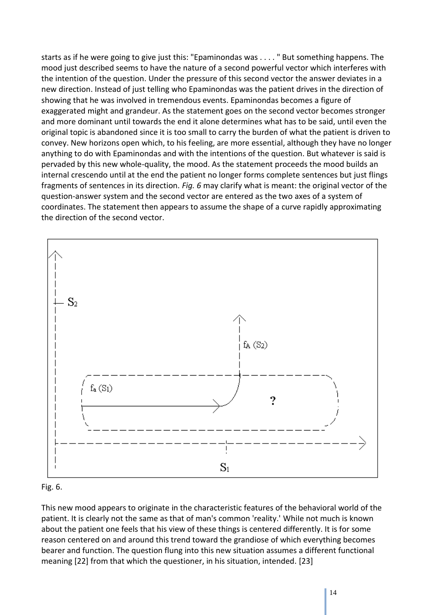starts as if he were going to give just this: "Epaminondas was . . . . " But something happens. The mood just described seems to have the nature of a second powerful vector which interferes with the intention of the question. Under the pressure of this second vector the answer deviates in a new direction. Instead of just telling who Epaminondas was the patient drives in the direction of showing that he was involved in tremendous events. Epaminondas becomes a figure of exaggerated might and grandeur. As the statement goes on the second vector becomes stronger and more dominant until towards the end it alone determines what has to be said, until even the original topic is abandoned since it is too small to carry the burden of what the patient is driven to convey. New horizons open which, to his feeling, are more essential, although they have no longer anything to do with Epaminondas and with the intentions of the question. But whatever is said is pervaded by this new whole-quality, the mood. As the statement proceeds the mood builds an internal crescendo until at the end the patient no longer forms complete sentences but just flings fragments of sentences in its direction. *Fig. 6* may clarify what is meant: the original vector of the question-answer system and the second vector are entered as the two axes of a system of coordinates. The statement then appears to assume the shape of a curve rapidly approximating the direction of the second vector.



Fig. 6.

This new mood appears to originate in the characteristic features of the behavioral world of the patient. It is clearly not the same as that of man's common 'reality.' WhiIe not much is known about the patient one feels that his view of these things is centered differently. It is for some reason centered on and around this trend toward the grandiose of which everything becomes bearer and function. The question flung into this new situation assumes a different functional meaning [22] from that which the questioner, in his situation, intended. [23]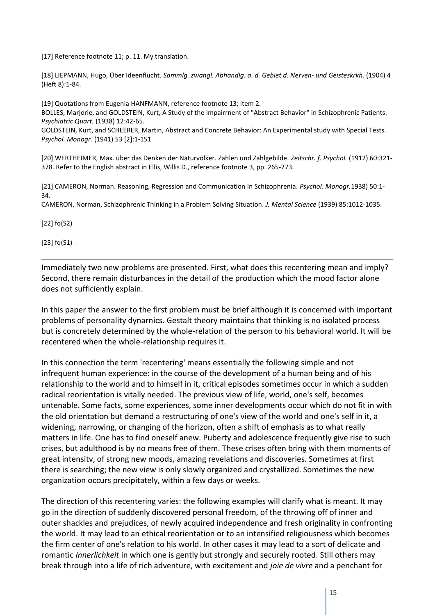[17] Reference footnote 11; p. 11. My translation.

[18] LIEPMANN, Hugo, Über Ideenflucht. *Sammlg. zwangl. Abhandlg. a. d. Gebiet d. Nerven- und Geisteskrkh.* (1904) 4 (Heft 8):1-84.

[19] Quotations from Eugenia HANFMANN, reference footnote 13; item 2.

BOLLES, Marjorie, and GOLDSTEIN, Kurt, A Study of the Impairrnent of "Abstract Behavior" in Schizophrenic Patients. *Psychiatric Quart.* (1938) 12:42-65.

GOLDSTEIN, Kurt, and SCHEERER, Martin, Abstract and Concrete Behavior: An Experimental study with Special Tests. *Psychol. Monogr.* (1941) 53 [2]:1-151

[20] WERTHEIMER, Max. über das Denken der Naturvölker. Zahlen und Zahlgebilde. *Zeitschr. f. Psychol.* (1912) 60:321- 378. Refer to the English abstract in Ellis, Willis D., reference footnote 3, pp. 265-273.

[21] CAMERON, Norman. Reasoning, Regression and Communication In Schizophrenia. *Psychol. Monogr.*1938) 50:1- 34.

CAMERON, Norman, Schlzophrenic Thinking in a Problem Solving Situation. *J. Mental Science* (1939) 85:1012-1035.

[22] fq(S2)

[23] fq(S1) -

Immediately two new problems are presented. First, what does this recentering mean and imply? Second, there remain disturbances in the detail of the production which the mood factor alone does not sufficiently explain.

In this paper the answer to the first problem must be brief although it is concerned with important problems of personality dynarnics. Gestalt theory maintains that thinking is no isolated process but is concretely determined by the whole-relation of the person to his behavioral world. It will be recentered when the whole-relationship requires it.

In this connection the term 'recentering' means essentially the following simple and not infrequent human experience: in the course of the development of a human being and of his relationship to the world and to himself in it, critical episodes sometimes occur in which a sudden radical reorientation is vitally needed. The previous view of life, world, one's self, becomes untenable. Some facts, some experiences, some inner developments occur which do not fit in with the old orientation but demand a restructuring of one's view of the world and one's self in it, a widening, narrowing, or changing of the horizon, often a shift of emphasis as to what really matters in life. One has to find oneself anew. Puberty and adolescence frequently give rise to such crises, but adulthood is by no means free of them. These crises often bring with them moments of great intensitv, of strong new moods, amazing revelations and discoveries. Sometimes at first there is searching; the new view is only slowly organized and crystallized. Sometimes the new organization occurs precipitately, within a few days or weeks.

The direction of this recentering varies: the following examples will clarify what is meant. It may go in the direction of suddenly discovered personal freedom, of the throwing off of inner and outer shackles and prejudices, of newly acquired independence and fresh originality in confronting the world. It may lead to an ethical reorientation or to an intensified religiousness which becomes the firm center of one's relation to his world. In other cases it may lead to a sort of delicate and romantic *Innerlichkeit* in which one is gently but strongly and securely rooted. Still others may break through into a life of rich adventure, with excitement and *joie de vivre* and a penchant for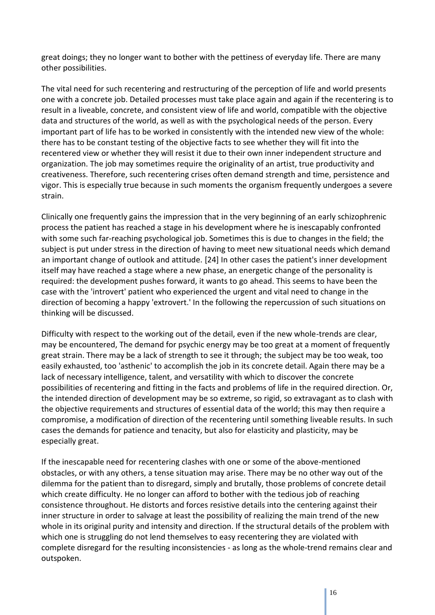great doings; they no longer want to bother with the pettiness of everyday life. There are many other possibilities.

The vital need for such recentering and restructuring of the perception of life and world presents one with a concrete job. Detailed processes must take place again and again if the recentering is to result in a liveable, concrete, and consistent view of life and world, compatible with the objective data and structures of the world, as well as with the psychological needs of the person. Every important part of life has to be worked in consistently with the intended new view of the whole: there has to be constant testing of the objective facts to see whether they will fit into the recentered view or whether they will resist it due to their own inner independent structure and organization. The job may sometimes require the originality of an artist, true productivity and creativeness. Therefore, such recentering crises often demand strength and time, persistence and vigor. This is especially true because in such moments the organism frequently undergoes a severe strain.

Clinically one frequently gains the impression that in the very beginning of an early schizophrenic process the patient has reached a stage in his development where he is inescapably confronted with some such far-reaching psychological job. Sometimes this is due to changes in the field; the subject is put under stress in the direction of having to meet new situational needs which demand an important change of outlook and attitude. [24] In other cases the patient's inner development itself may have reached a stage where a new phase, an energetic change of the personality is required: the development pushes forward, it wants to go ahead. This seems to have been the case with the 'introvert' patient who experienced the urgent and vital need to change in the direction of becoming a happy 'extrovert.' In the following the repercussion of such situations on thinking will be discussed.

Difficulty with respect to the working out of the detail, even if the new whole-trends are clear, may be encountered, The demand for psychic energy may be too great at a moment of frequently great strain. There may be a lack of strength to see it through; the subject may be too weak, too easily exhausted, too 'asthenic' to accomplish the job in its concrete detail. Again there may be a lack of necessary intelligence, talent, and versatility with which to discover the concrete possibilities of recentering and fitting in the facts and problems of life in the required direction. Or, the intended direction of development may be so extreme, so rigid, so extravagant as to clash with the objective requirements and structures of essential data of the world; this may then require a compromise, a modification of direction of the recentering until something liveable results. In such cases the demands for patience and tenacity, but also for elasticity and plasticity, may be especially great.

If the inescapable need for recentering clashes with one or some of the above-mentioned obstacles, or with any others, a tense situation may arise. There may be no other way out of the dilemma for the patient than to disregard, simply and brutally, those problems of concrete detail which create difficulty. He no longer can afford to bother with the tedious job of reaching consistence throughout. He distorts and forces resistive details into the centering against their inner structure in order to salvage at least the possibility of realizing the main trend of the new whole in its original purity and intensity and direction. If the structural details of the problem with which one is struggling do not lend themselves to easy recentering they are violated with complete disregard for the resulting inconsistencies - as long as the whole-trend remains clear and outspoken.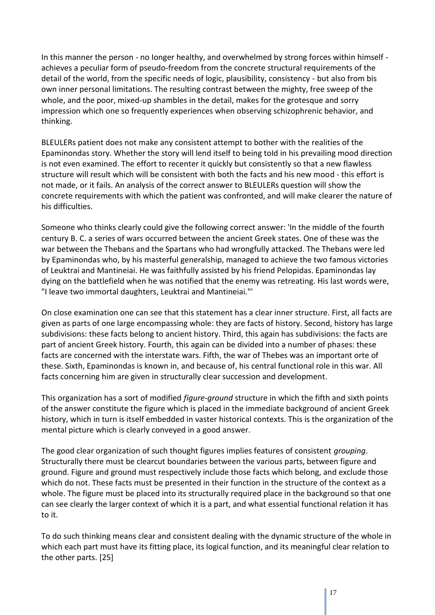In this manner the person - no Ionger healthy, and overwhelmed by strong forces within himself achieves a peculiar form of pseudo-freedom from the concrete structural requirements of the detail of the world, from the specific needs of logic, plausibility, consistency - but also from bis own inner personal limitations. The resulting contrast between the mighty, free sweep of the whole, and the poor, mixed-up shambles in the detail, makes for the grotesque and sorry impression which one so frequently experiences when observing schizophrenic behavior, and thinking.

BLEULERs patient does not make any consistent attempt to bother with the realities of the Epaminondas story. Whether the story will lend itself to being toId in his prevailing mood direction is not even examined. The effort to recenter it quickly but consistently so that a new flawless structure will result which will be consistent with both the facts and his new mood - this effort is not made, or it fails. An analysis of the correct answer to BLEULERs question will show the concrete requirements with which the patient was confronted, and will make clearer the nature of his difficulties.

Someone who thinks clearly could give the following correct answer: 'In the middle of the fourth century B. C. a series of wars occurred between the ancient Greek states. One of these was the war between the Thebans and the Spartans who had wrongfully attacked. The Thebans were led by Epaminondas who, by his masterful generalship, managed to achieve the two famous victories of Leuktrai and Mantineiai. He was faithfully assisted by his friend Pelopidas. Epaminondas lay dying on the battlefield when he was notified that the enemy was retreating. His last words were, "I leave two immortal daughters, Leuktrai and Mantineiai."'

On close examination one can see that this statement has a clear inner structure. First, all facts are given as parts of one large encompassing whole: they are facts of history. Second, history has large subdivisions: these facts belong to ancient history. Third, this again has subdivisions: the facts are part of ancient Greek history. Fourth, this again can be divided into a number of phases: these facts are concerned with the interstate wars. Fifth, the war of Thebes was an important orte of these. Sixth, Epaminondas is known in, and because of, his central functional role in this war. All facts concerning him are given in structurally clear succession and development.

This organization has a sort of modified *figure-ground* structure in which the fifth and sixth points of the answer constitute the figure which is placed in the immediate background of ancient Greek history, which in turn is itself embedded in vaster historical contexts. This is the organization of the mental picture which is clearly conveyed in a good answer.

The good clear organization of such thought figures implies features of consistent *grouping*. Structurally there must be clearcut boundaries between the various parts, between figure and ground. Figure and ground must respectively include those facts which belong, and exclude those which do not. These facts must be presented in their function in the structure of the context as a whole. The figure must be placed into its structurally required place in the background so that one can see clearly the larger context of which it is a part, and what essential functional relation it has to it.

To do such thinking means clear and consistent dealing with the dynamic structure of the whole in which each part must have its fitting place, its logical function, and its meaningful clear relation to the other parts. [25]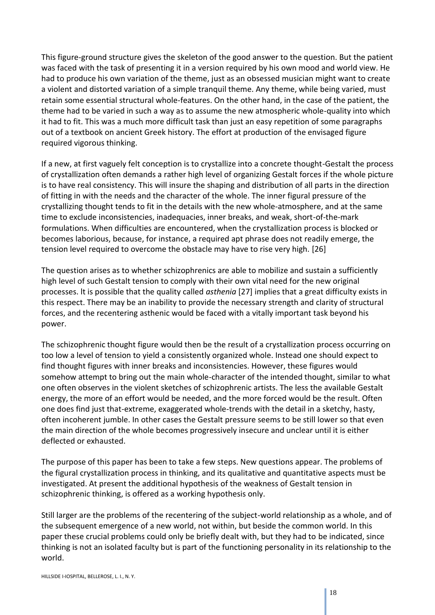This figure-ground structure gives the skeleton of the good answer to the question. But the patient was faced with the task of presenting it in a version required by his own mood and world view. He had to produce his own variation of the theme, just as an obsessed musician might want to create a violent and distorted variation of a simple tranquil theme. Any theme, while being varied, must retain some essential structural whole-features. On the other hand, in the case of the patient, the theme had to be varied in such a way as to assume the new atmospheric whole-quality into which it had to fit. This was a much more difficult task than just an easy repetition of some paragraphs out of a textbook on ancient Greek history. The effort at production of the envisaged figure required vigorous thinking.

If a new, at first vaguely felt conception is to crystallize into a concrete thought-Gestalt the process of crystallization often demands a rather high level of organizing Gestalt forces if the whole picture is to have real consistency. This will insure the shaping and distribution of all parts in the direction of fitting in with the needs and the character of the whole. The inner figural pressure of the crystallizing thought tends to fit in the details with the new whole-atmosphere, and at the same time to exclude inconsistencies, inadequacies, inner breaks, and weak, short-of-the-mark formulations. When difficulties are encountered, when the crystallization process is blocked or becomes laborious, because, for instance, a required apt phrase does not readily emerge, the tension level required to overcome the obstacle may have to rise very high. [26]

The question arises as to whether schizophrenics are able to mobilize and sustain a sufficiently high level of such Gestalt tension to comply with their own vital need for the new original processes. lt is possible that the quality called *asthenia* [27] implies that a great difficulty exists in this respect. There may be an inability to provide the necessary strength and clarity of structural forces, and the recentering asthenic would be faced with a vitally important task beyond his power.

The schizophrenic thought figure would then be the result of a crystallization process occurring on too low a level of tension to yield a consistently organized whole. Instead one should expect to find thought figures with inner breaks and inconsistencies. However, these figures would somehow attempt to bring out the main whole-character of the intended thought, similar to what one often observes in the violent sketches of schizophrenic artists. The less the available Gestalt energy, the more of an effort would be needed, and the more forced would be the result. Often one does find just that-extreme, exaggerated whole-trends with the detail in a sketchy, hasty, often incoherent jumble. In other cases the Gestalt pressure seems to be still lower so that even the main direction of the whole becomes progressively insecure and unclear until it is either deflected or exhausted.

The purpose of this paper has been to take a few steps. New questions appear. The problems of the figural crystallization process in thinking, and its qualitative and quantitative aspects must be investigated. At present the additional hypothesis of the weakness of Gestalt tension in schizophrenic thinking, is offered as a working hypothesis only.

Still larger are the problems of the recentering of the subject-world relationship as a whole, and of the subsequent emergence of a new world, not within, but beside the common world. In this paper these crucial problems could only be briefly dealt with, but they had to be indicated, since thinking is not an isolated faculty but is part of the functioning personality in its relationship to the world.